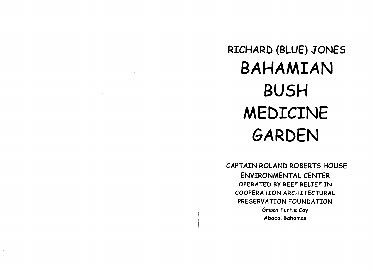RICHARD (BLUE) JONES BAHAMIAN BUSH MEDICINE GARDEN

CAPTAIN ROLAND ROBERTS HOUSE ENVIRONMENTAL CENTER OPERATED BY REEF RELIEF IN COOPERATION ARCHITECTURAL PRESERVATION FOUNDATION Green Turtle Cay *Abaco,* Bahamas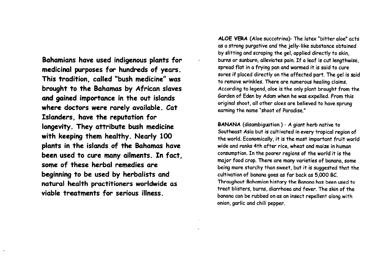**Bahamians have used indigenous plants for medicinal purposes for hundreds of years. This tradition, called "bush medicine" was brought to the Bahamas by African slaves and gained importance in the out islands where doctors were rarely available. Cat Islanders, have the reputation for longevity. They attribute bush medicine with keeping them healthy. Nearly 100 plants in the islands of the Bahamas have been used to cure many ailments. In fact, some of these herbal remedies are beginning to be used by herbalists and natural health practitioners worldwide as viable treatments for serious illness.**

**ALOE VERA** (Aloe succotrina)- The latex "bitter aloe" acts as a strong purgative and the jelly-like substance obtained by slitting and scraping the gel, applied directly to skin, burns or sunburn, alleviates pain. If a leaf is cut lengthwise, spread flat in a frying pan and warmed it is said to cure sores if placed directly on the affected part. The gel is said to remove wrinkles. There are numerous healing claims. According to legend, aloe is the only plant brought from the Garden of Eden by Adam when he was expelled. From this original shoot, all other aloes are believed to have sprung earning the name "shoot of Paradise."

BANANA (disambiguation) - A giant herb native to Southeast Asia but is cultivated in every tropical region of the world. Economically, it is the most important fruit world wide and ranks 4th after rice, wheat and maize in human consumption. In the poorer regions of the world it is the major food crop. There are many varieties of banana, some being more starchy than sweet, but it is suggested that the cultivation of banana goes as far back as 5,000 BC. Throughout Bahamian history the Banana has been used to treat blisters, burns, diarrhoea and fever. The skin of the banana can be rubbed on as an insect repellent along with onion, garlic and chili pepper.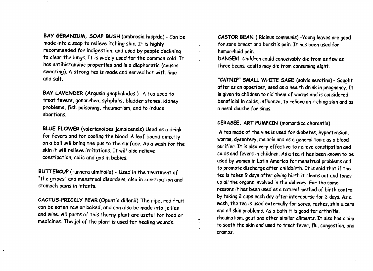BAY GERANIUM, SOAP BUSH (ambrosia hispida) - Can be made into a soap to relieve itching skin. It is highly recommended for indigestion, and used by people declining to clear the lungs. It is widely used for the common cold. It has antihistaminic properties and is a diaphoretic (causes sweating). A strong tea is made and served hot with lime and salt.

BAY LAVENDER (Argusia gnaphalodes ) -A tea used to treat fevers, gonorrhea, syhphilis, bladder stones, kidney problems, fish poisoning, rheumatism, and to induce abortions.

BLUE FLOWER (valerianoides jamaicensis) Used as a drink for fevers and for cooling the blood. A leaf bound directly on a boil will bring the pus to the surface. As a wash for the skin it will relieve irritations. It will also relieve constipation, colic and gas in babies.

BUTTERCUP (turnera ulmifolia) - Used in the treatment of "the gripes" and menstrual disorders, also in constipation and stomach pains in infants.

CACTUS-PRICKLY PEAR (Opuntia dillenii)-The ripe, red fruit can be eaten raw or baked, and can also be made into jellies and wine. All parts of this thorny plant are useful for food or medicines. The jel of the plant is used for healing wounds.

CASTOR BEAN (Ricinus communis) -Young leaves are good for sore breast and bursitis pain. It has been used for hemorrhoid pain.

DANGER! -Children could conceivably die from as few as three beans; adults may die from consuming eight.

"CATNIP" SMALL WHITE SA6E (salvia serotina) - Sought after as an appetizer, used as a health drink in pregnancy. It is given to children to rid them of worms and is considered beneficial in colds, influenza, to relieve an itching skin and as a nasal douche for sinus.

## CERASEE, ART PUMPKIN (momordica charantia)

A tea made of the vine is used for diabetes, hypertension, worms, dysentery, malaria and as a general tonic as a blood purifier. It is also very effective to relieve constipation and colds and fevers in children. As a tea it has been known to be used by women in Latin America for menstrual problems and to promote discharge after childbirth. It is said that if the tea is taken 9 days after giving birth it cleans out and tones up all the organs involved in the delivery. For the same reasons it has been used as a natural method of birth control by taking 2 cups each day after intercourse for 3 days. As a wash, the tea is used externally for sores, rashes, shin ulcers and all skin problems. As a bath it is good for arthritis, rheumatism, gout and other similar ailments. It also has claim to sooth the skin and used to treat fever, flu, congestion, and cramps.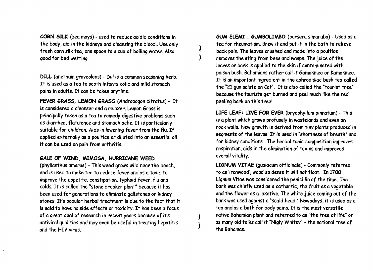CORN SILK (zea mays) - used to reduce acidic conditions in the body, aid in the kidneys and cleansing the blood.. Use only fresh corn silk tea, one spoon to a cup of boiling water. Also good for bed wetting.

DILL (anethum graveolens) - Dill is a common seasoning herb. It is used as a tea to sooth infants colic and mild stomach pains in adults. It can be taken anytime.

FEVER GRASS. LEMON GRASS (Andropogon citratus) - It is considered a cleanser and a relaxer. Lemon Grass is principally taken as a tea to remedy digestive problems such as diarrhea, flatulence and stomach ache. It is particularly suitable for children. Aids in lowering fever from the flu. If applied externally as a poultice or diluted into an essential oil it can be used on pain from arthritis.

## GALE OF WIND, MIMOSA, HURRICANE WEED

(phyllanthus amarus) - This weed grows wild near the beach, and is used to make tea to reduce fever and as a tonic to improve the appetite, constipation, typhoid fever, flu and colds. It is called the "stone breaker plant" because it has been used for generations to eliminate gallstones or kidney stones. It's popular herbal treatment is due to the fact that it is said to have no side effects or toxicity. It has been a focus of a great deal of research in recent years because of it's antiviral qualities and may even be useful in treating hepatitis and the HIV virus.

GUM ELEMI, GUMBOLIMBO (bursera simaruba) - Used as a tea for rheumatism. Brew it and put it in the bath to relieve back pain. The leaves crushed and made into a poultice removes the sting from bees and wasps. The juice of the leaves or bark is applied to the skin if contaminated with poison bush. Bahamians rather call it Gamakmee or Kamakmee. It is an important ingredient in the aphrodisiac bush tea called the "21 gun salute on Cat". It is also called the "tourist tree" because the tourists get burned and peel much like the red peeling bark on this tree!

LIFE LEAF: LIVE FOR EVER (bryophyllum pinnatum) - This is a plant which grows profusely in wastelands and even on rock walls. New growth is derived from tiny plants produced in segments of the leaves. It is used in "shortness of breath" and for kidney conditions. The herbal tonic composition improves respiration, aids in the elimination of toxins and improves overall vitality.

LIGNUM VITAE (quaiacum officinale) - Commonly referred to as 'ironwood', wood so dense it will not float. In 1700 Lignum Vitae was considered the penicillin of the time. The bark was chiefly used as a cathartic, the fruit as a vegetable and the flower as a laxative. The white juice coming out of the bark was used against a "scald head." Nowadays, it is used as a tea and as a bath for body pains. It is the most versatile native Bahamian plant and referred to as "the tree of life" or as many old folks call it "Nigly Whitey" - the national tree of the Bahamas.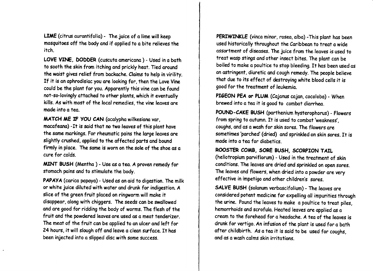LIME (citrus aurantifolia) - The juice of a lime will keep mosquitoes off the body and if applied to a bite relieves the itch.

LOVE VINE. DODDER (cuscuta americana) - Used in a bath to sooth the skin from itching and prickly heat. Tied around the waist gives relief from backache. Claims to help in virility. If it is an aphrodisiac you are looking for, then the Love Vine could be the plant for you. Apparently this vine can be found not-so-lovingly attached to other plants, which it eventually kills. As with most of the local remedies, the vine leaves are made into a tea.

MATCH ME IF YOU CAN (acalypha wilkesiana var, macafeana) -It is said that no two leaves of this plant have the same markings. For rheumatic pains the large leaves are slightly crushed, applied to the affected parts and bound firmly in place. The same is worn on the sole of the shoe as a cure for colds.

MINT BUSH (Mentha ) - Use as a tea. A proven remedy for stomach pains and to stimulate the body.

PAPAYA (carica papaya) - Used as an aid to digestion. The milk or white juice diluted with water and drunk for indigestion. A slice of the green fruit placed on ringworm will make it disappear, along with chiggers. The seeds can be swallowed and are good for ridding the body of worms. The flesh of the fruit and the powdered leaves are used as a meat tenderizer. The meat of the fruit can be applied to an ulcer and left for 24 hours, it will slough off and leave a clean surface. It has been injected into a slipped disc with some success.

PERIWINKLE (vinca minor, rosea, alba) -This plant has been used historically throughout the Caribbean to treat a wide assortment of diseases. The juice from the leaves is used to treat wasp stings and other insect bites. The plant can be boiled to make a poultice to stop bleeding. It has been used as an astringent, diuretic and cough remedy. The people believe that due to its effect of destroying white blood cells it is good for the treatment of leukemia.

PIGEON PEA or PLUM (Cajanus cajan, cocoloba) - When brewed into a tea it is good to combat diarrhea.

POUND-CAKE BUSH (parthenium hysterophorus) - Flowers from spring to autumn. It is used to combat 'weakness', coughs, and as a wash for skin sores. The flowers are sometimes 'parched' (dried) and sprinkled on skin sores. It is made into a tea for diabetics.

## ROOSTER COMB, SORE BUSH. SCORPION TAIL

(heliotropium parviflorum) - Used in the treatment of skin conditions. The leaves are dried and sprinkled on open sores. The leaves and flowers, when dried into a powder are very effective in impetigo and other children's sores.

SALVE BUSH (solanum verbascifolium) - The leaves are considered potent medicine for expelling all impurities through the urine. Pound the leaves to make a poultice to treat piles, hemorrhoids and scrofula. Heated leaves are applied as a cream to the forehead for a headache. A tea of the leaves is drunk for vertigo. An infusion of the plant is used for a bath after childbirth. As a tea it is said to be used for coughs, and as a wash calms skin irritations.